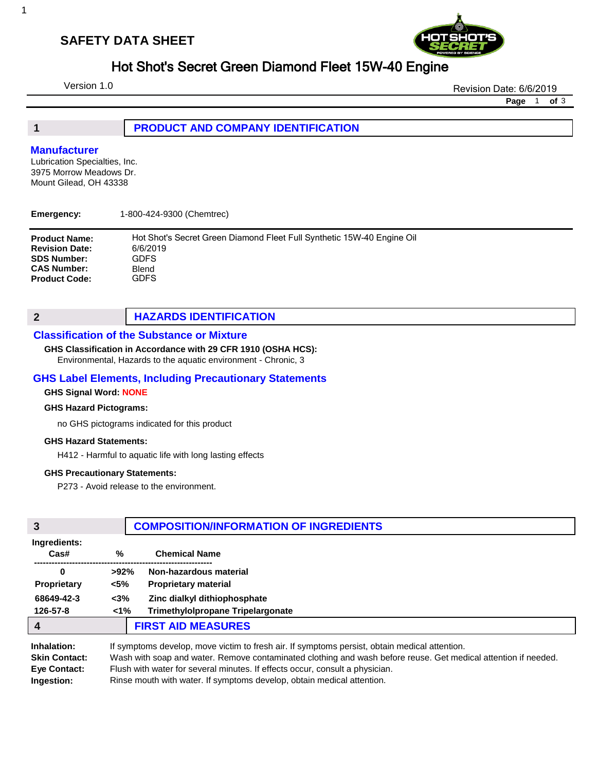## **SAFETY DATA SHEET**



## Hot Shot's Secret Green Diamond Fleet 15W-40 Engine

Version 1.0

Revision Date: 6/6/2019

**Page** 1 **of** 3

### **1 PRODUCT AND COMPANY IDENTIFICATION**

#### **Manufacturer**

Lubrication Specialties, Inc. 3975 Morrow Meadows Dr. Mount Gilead, OH 43338

| Emergency:            | 1-800-424-9300 (Chemtrec)                                              |
|-----------------------|------------------------------------------------------------------------|
| <b>Product Name:</b>  | Hot Shot's Secret Green Diamond Fleet Full Synthetic 15W-40 Engine Oil |
| <b>Revision Date:</b> | 6/6/2019                                                               |
| <b>SDS Number:</b>    | GDFS                                                                   |
| <b>CAS Number:</b>    | Blend                                                                  |
| <b>Product Code:</b>  | GDFS                                                                   |

### **2 HAZARDS IDENTIFICATION**

#### **Classification of the Substance or Mixture**

#### **GHS Classification in Accordance with 29 CFR 1910 (OSHA HCS):**

Environmental, Hazards to the aquatic environment - Chronic, 3

### **GHS Label Elements, Including Precautionary Statements**

### **GHS Signal Word: NONE**

#### **GHS Hazard Pictograms:**

no GHS pictograms indicated for this product

#### **GHS Hazard Statements:**

H412 - Harmful to aquatic life with long lasting effects

#### **GHS Precautionary Statements:**

P273 - Avoid release to the environment.

| 3                                                   | <b>COMPOSITION/INFORMATION OF INGREDIENTS</b>                                                                                                                                                                                                                                                   |                                   |
|-----------------------------------------------------|-------------------------------------------------------------------------------------------------------------------------------------------------------------------------------------------------------------------------------------------------------------------------------------------------|-----------------------------------|
| Ingredients:<br>Cas#                                | $\%$                                                                                                                                                                                                                                                                                            | <b>Chemical Name</b>              |
| 0                                                   | $>92\%$                                                                                                                                                                                                                                                                                         | Non-hazardous material            |
|                                                     |                                                                                                                                                                                                                                                                                                 |                                   |
| <b>Proprietary</b>                                  | <5%                                                                                                                                                                                                                                                                                             | <b>Proprietary material</b>       |
| 68649-42-3                                          | $<$ 3%                                                                                                                                                                                                                                                                                          | Zinc dialkyl dithiophosphate      |
| 126-57-8                                            | $1\%$                                                                                                                                                                                                                                                                                           | Trimethylolpropane Tripelargonate |
|                                                     |                                                                                                                                                                                                                                                                                                 | <b>FIRST AID MEASURES</b>         |
| Inhalation:<br><b>Skin Contact:</b><br>Eye Contact: | If symptoms develop, move victim to fresh air. If symptoms persist, obtain medical attention.<br>Wash with soap and water. Remove contaminated clothing and wash before reuse. Get medical attention if needed.<br>Flush with water for several minutes. If effects occur, consult a physician. |                                   |

**Ingestion:** Rinse mouth with water. If symptoms develop, obtain medical attention.

1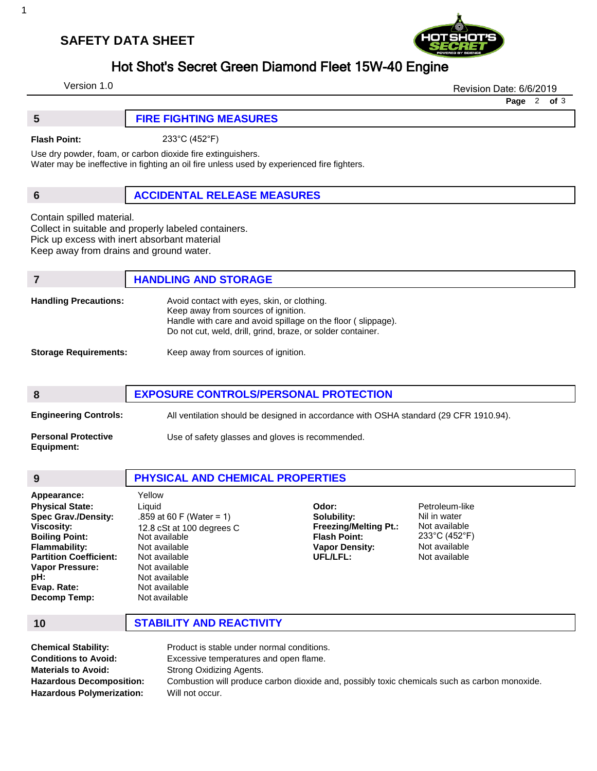## **SAFETY DATA SHEET**



# Hot Shot's Secret Green Diamond Fleet 15W-40 Engine

Version 1.0

Revision Date: 6/6/2019

**Page** 2 **of** 3

| <b>FIRE FIGHTING MEASURES</b> |
|-------------------------------|
|                               |

**Flash Point:** 233°C (452°F)

Use dry powder, foam, or carbon dioxide fire extinguishers.

Water may be ineffective in fighting an oil fire unless used by experienced fire fighters.

## **6 ACCIDENTAL RELEASE MEASURES**

Contain spilled material.

Collect in suitable and properly labeled containers. Pick up excess with inert absorbant material

Keep away from drains and ground water.

|                              | <b>HANDLING AND STORAGE</b>                                                                                                                                                                                       |
|------------------------------|-------------------------------------------------------------------------------------------------------------------------------------------------------------------------------------------------------------------|
| <b>Handling Precautions:</b> | Avoid contact with eyes, skin, or clothing.<br>Keep away from sources of ignition.<br>Handle with care and avoid spillage on the floor (slippage).<br>Do not cut, weld, drill, grind, braze, or solder container. |
| <b>Storage Requirements:</b> | Keep away from sources of ignition.                                                                                                                                                                               |

| 8                                        | <b>EXPOSURE CONTROLS/PERSONAL PROTECTION</b>                                          |  |
|------------------------------------------|---------------------------------------------------------------------------------------|--|
| <b>Engineering Controls:</b>             | All ventilation should be designed in accordance with OSHA standard (29 CFR 1910.94). |  |
| <b>Personal Protective</b><br>Equipment: | Use of safety glasses and gloves is recommended.                                      |  |

| 9                                                                                                                                                                                                                     | <b>PHYSICAL AND CHEMICAL PROPERTIES</b>                                                                                                                                                          |                                                                                                                  |                                                                                                                         |
|-----------------------------------------------------------------------------------------------------------------------------------------------------------------------------------------------------------------------|--------------------------------------------------------------------------------------------------------------------------------------------------------------------------------------------------|------------------------------------------------------------------------------------------------------------------|-------------------------------------------------------------------------------------------------------------------------|
| Appearance:<br><b>Physical State:</b><br><b>Spec Grav./Density:</b><br>Viscosity:<br><b>Boiling Point:</b><br>Flammability:<br><b>Partition Coefficient:</b><br>Vapor Pressure:<br>pH:<br>Evap. Rate:<br>Decomp Temp: | Yellow<br>Liquid<br>.859 at 60 F (Water = 1)<br>12.8 cSt at 100 degrees C<br>Not available<br>Not available<br>Not available<br>Not available<br>Not available<br>Not available<br>Not available | Odor:<br>Solubility:<br><b>Freezing/Melting Pt.:</b><br><b>Flash Point:</b><br><b>Vapor Density:</b><br>UFL/LFL: | Petroleum-like<br>Nil in water<br>Not available<br>$233^{\circ}$ C (452 $^{\circ}$ F)<br>Not available<br>Not available |

**10 STABILITY AND REACTIVITY**

| <b>Chemical Stability:</b>       | Product is stable under normal conditions.                                                    |
|----------------------------------|-----------------------------------------------------------------------------------------------|
| <b>Conditions to Avoid:</b>      | Excessive temperatures and open flame.                                                        |
| <b>Materials to Avoid:</b>       | Strong Oxidizing Agents.                                                                      |
| <b>Hazardous Decomposition:</b>  | Combustion will produce carbon dioxide and, possibly toxic chemicals such as carbon monoxide. |
| <b>Hazardous Polymerization:</b> | Will not occur.                                                                               |